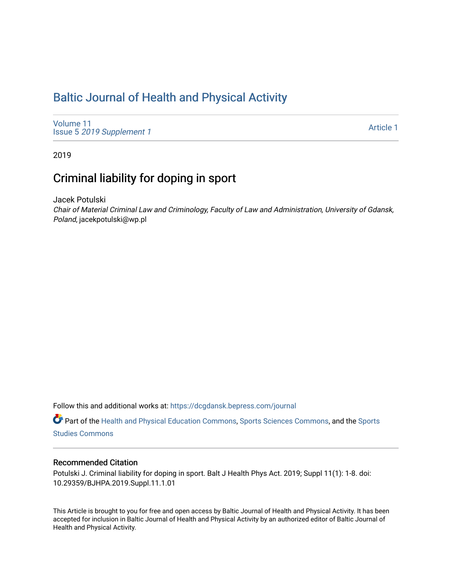# [Baltic Journal of Health and Physical Activity](https://dcgdansk.bepress.com/journal)

[Volume 11](https://dcgdansk.bepress.com/journal/vol11) Issue 5 [2019 Supplement 1](https://dcgdansk.bepress.com/journal/vol11/iss5) 

[Article 1](https://dcgdansk.bepress.com/journal/vol11/iss5/1) 

2019

## Criminal liability for doping in sport

Jacek Potulski

Chair of Material Criminal Law and Criminology, Faculty of Law and Administration, University of Gdansk, Poland, jacekpotulski@wp.pl

Follow this and additional works at: [https://dcgdansk.bepress.com/journal](https://dcgdansk.bepress.com/journal?utm_source=dcgdansk.bepress.com%2Fjournal%2Fvol11%2Fiss5%2F1&utm_medium=PDF&utm_campaign=PDFCoverPages)

Part of the [Health and Physical Education Commons](http://network.bepress.com/hgg/discipline/1327?utm_source=dcgdansk.bepress.com%2Fjournal%2Fvol11%2Fiss5%2F1&utm_medium=PDF&utm_campaign=PDFCoverPages), [Sports Sciences Commons](http://network.bepress.com/hgg/discipline/759?utm_source=dcgdansk.bepress.com%2Fjournal%2Fvol11%2Fiss5%2F1&utm_medium=PDF&utm_campaign=PDFCoverPages), and the [Sports](http://network.bepress.com/hgg/discipline/1198?utm_source=dcgdansk.bepress.com%2Fjournal%2Fvol11%2Fiss5%2F1&utm_medium=PDF&utm_campaign=PDFCoverPages)  [Studies Commons](http://network.bepress.com/hgg/discipline/1198?utm_source=dcgdansk.bepress.com%2Fjournal%2Fvol11%2Fiss5%2F1&utm_medium=PDF&utm_campaign=PDFCoverPages) 

### Recommended Citation

Potulski J. Criminal liability for doping in sport. Balt J Health Phys Act. 2019; Suppl 11(1): 1-8. doi: 10.29359/BJHPA.2019.Suppl.11.1.01

This Article is brought to you for free and open access by Baltic Journal of Health and Physical Activity. It has been accepted for inclusion in Baltic Journal of Health and Physical Activity by an authorized editor of Baltic Journal of Health and Physical Activity.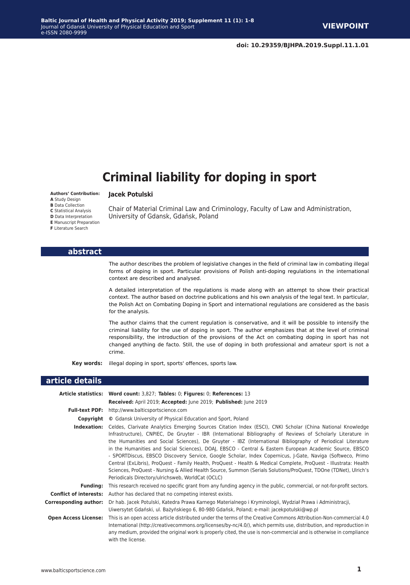**Jacek Potulski**

University of Gdansk, Gdańsk, Poland

# **Criminal liability for doping in sport**

#### **Authors' Contribution:**

**A** Study Design

**B** Data Collection

**C** Statistical Analysis **D** Data Interpretation

**E** Manuscript Preparation

**F** Literature Search

#### **abstract**

The author describes the problem of legislative changes in the field of criminal law in combating illegal forms of doping in sport. Particular provisions of Polish anti-doping regulations in the international context are described and analysed.

Chair of Material Criminal Law and Criminology, Faculty of Law and Administration,

A detailed interpretation of the regulations is made along with an attempt to show their practical context. The author based on doctrine publications and his own analysis of the legal text. In particular, the Polish Act on Combating Doping in Sport and international regulations are considered as the basis for the analysis.

The author claims that the current regulation is conservative, and it will be possible to intensify the criminal liability for the use of doping in sport. The author emphasizes that at the level of criminal responsibility, the introduction of the provisions of the Act on combating doping in sport has not changed anything de facto. Still, the use of doping in both professional and amateur sport is not a crime.

**Key words:** illegal doping in sport, sports' offences, sports law.

#### **article details**

|                               | Article statistics: Word count: 3,827; Tables: 0; Figures: 0; References: 13                                                                                                                                                                                                                                                                                                                                                                                                                                                                                                                                                                                                                                                                                                                                                                                  |
|-------------------------------|---------------------------------------------------------------------------------------------------------------------------------------------------------------------------------------------------------------------------------------------------------------------------------------------------------------------------------------------------------------------------------------------------------------------------------------------------------------------------------------------------------------------------------------------------------------------------------------------------------------------------------------------------------------------------------------------------------------------------------------------------------------------------------------------------------------------------------------------------------------|
|                               | Received: April 2019; Accepted: June 2019; Published: June 2019                                                                                                                                                                                                                                                                                                                                                                                                                                                                                                                                                                                                                                                                                                                                                                                               |
|                               | <b>Full-text PDF:</b> http://www.balticsportscience.com                                                                                                                                                                                                                                                                                                                                                                                                                                                                                                                                                                                                                                                                                                                                                                                                       |
| Copyright                     | © Gdansk University of Physical Education and Sport, Poland                                                                                                                                                                                                                                                                                                                                                                                                                                                                                                                                                                                                                                                                                                                                                                                                   |
| Indexation:                   | Celdes, Clarivate Analytics Emerging Sources Citation Index (ESCI), CNKI Scholar (China National Knowledge<br>Infrastructure), CNPIEC, De Gruyter - IBR (International Bibliography of Reviews of Scholarly Literature in<br>the Humanities and Social Sciences), De Gruyter - IBZ (International Bibliography of Periodical Literature<br>in the Humanities and Social Sciences), DOAJ, EBSCO - Central & Eastern European Academic Source, EBSCO<br>- SPORTDiscus, EBSCO Discovery Service, Google Scholar, Index Copernicus, J-Gate, Naviga (Softweco, Primo<br>Central (ExLibris), ProQuest - Family Health, ProQuest - Health & Medical Complete, ProQuest - Illustrata: Health<br>Sciences, ProQuest - Nursing & Allied Health Source, Summon (Serials Solutions/ProQuest, TDOne (TDNet), Ulrich's<br>Periodicals Directory/ulrichsweb, WorldCat (OCLC) |
| <b>Funding:</b>               | This research received no specific grant from any funding agency in the public, commercial, or not-for-profit sectors.                                                                                                                                                                                                                                                                                                                                                                                                                                                                                                                                                                                                                                                                                                                                        |
| <b>Conflict of interests:</b> | Author has declared that no competing interest exists.                                                                                                                                                                                                                                                                                                                                                                                                                                                                                                                                                                                                                                                                                                                                                                                                        |
| Corresponding author:         | Dr hab. Jacek Potulski, Katedra Prawa Karnego Materialnego i Kryminologii, Wydział Prawa i Administracji,<br>Uiwersytet Gdański, ul. Bażyńskiego 6, 80-980 Gdańsk, Poland; e-mail: jacekpotulski@wp.pl                                                                                                                                                                                                                                                                                                                                                                                                                                                                                                                                                                                                                                                        |
| <b>Open Access License:</b>   | This is an open access article distributed under the terms of the Creative Commons Attribution-Non-commercial 4.0<br>International (http://creativecommons.org/licenses/by-nc/4.0/), which permits use, distribution, and reproduction in<br>any medium, provided the original work is properly cited, the use is non-commercial and is otherwise in compliance<br>with the license.                                                                                                                                                                                                                                                                                                                                                                                                                                                                          |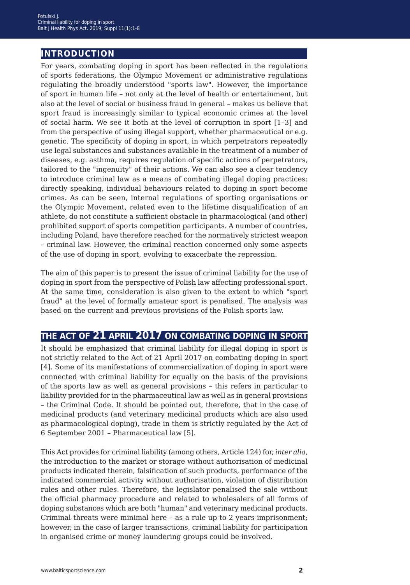### **introduction**

For years, combating doping in sport has been reflected in the regulations of sports federations, the Olympic Movement or administrative regulations regulating the broadly understood "sports law". However, the importance of sport in human life – not only at the level of health or entertainment, but also at the level of social or business fraud in general – makes us believe that sport fraud is increasingly similar to typical economic crimes at the level of social harm. We see it both at the level of corruption in sport [1–3] and from the perspective of using illegal support, whether pharmaceutical or e.g. genetic. The specificity of doping in sport, in which perpetrators repeatedly use legal substances and substances available in the treatment of a number of diseases, e.g. asthma, requires regulation of specific actions of perpetrators, tailored to the "ingenuity" of their actions. We can also see a clear tendency to introduce criminal law as a means of combating illegal doping practices: directly speaking, individual behaviours related to doping in sport become crimes. As can be seen, internal regulations of sporting organisations or the Olympic Movement, related even to the lifetime disqualification of an athlete, do not constitute a sufficient obstacle in pharmacological (and other) prohibited support of sports competition participants. A number of countries, including Poland, have therefore reached for the normatively strictest weapon – criminal law. However, the criminal reaction concerned only some aspects of the use of doping in sport, evolving to exacerbate the repression.

The aim of this paper is to present the issue of criminal liability for the use of doping in sport from the perspective of Polish law affecting professional sport. At the same time, consideration is also given to the extent to which "sport fraud" at the level of formally amateur sport is penalised. The analysis was based on the current and previous provisions of the Polish sports law.

## **the act of 21 april 2017 on combating doping in sport**

It should be emphasized that criminal liability for illegal doping in sport is not strictly related to the Act of 21 April 2017 on combating doping in sport [4]. Some of its manifestations of commercialization of doping in sport were connected with criminal liability for equally on the basis of the provisions of the sports law as well as general provisions – this refers in particular to liability provided for in the pharmaceutical law as well as in general provisions – the Criminal Code. It should be pointed out, therefore, that in the case of medicinal products (and veterinary medicinal products which are also used as pharmacological doping), trade in them is strictly regulated by the Act of 6 September 2001 – Pharmaceutical law [5].

This Act provides for criminal liability (among others, Article 124) for, *inter alia*, the introduction to the market or storage without authorisation of medicinal products indicated therein, falsification of such products, performance of the indicated commercial activity without authorisation, violation of distribution rules and other rules. Therefore, the legislator penalised the sale without the official pharmacy procedure and related to wholesalers of all forms of doping substances which are both "human" and veterinary medicinal products. Criminal threats were minimal here – as a rule up to 2 years imprisonment; however, in the case of larger transactions, criminal liability for participation in organised crime or money laundering groups could be involved.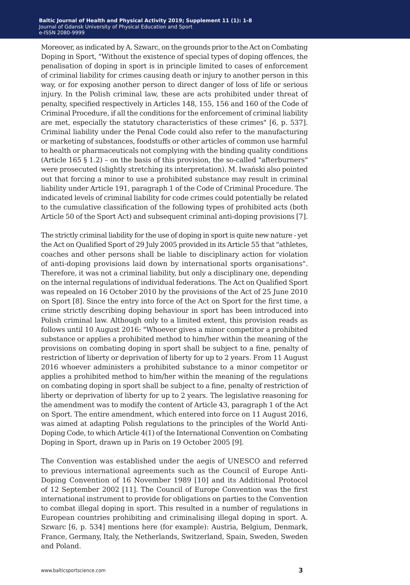Moreover, as indicated by A. Szwarc, on the grounds prior to the Act on Combating Doping in Sport, "Without the existence of special types of doping offences, the penalisation of doping in sport is in principle limited to cases of enforcement of criminal liability for crimes causing death or injury to another person in this way, or for exposing another person to direct danger of loss of life or serious injury. In the Polish criminal law, these are acts prohibited under threat of penalty, specified respectively in Articles 148, 155, 156 and 160 of the Code of Criminal Procedure, if all the conditions for the enforcement of criminal liability are met, especially the statutory characteristics of these crimes" [6, p. 537]. Criminal liability under the Penal Code could also refer to the manufacturing or marketing of substances, foodstuffs or other articles of common use harmful to health or pharmaceuticals not complying with the binding quality conditions (Article 165 § 1.2) – on the basis of this provision, the so-called "afterburners" were prosecuted (slightly stretching its interpretation). M. Iwański also pointed out that forcing a minor to use a prohibited substance may result in criminal liability under Article 191, paragraph 1 of the Code of Criminal Procedure. The indicated levels of criminal liability for code crimes could potentially be related to the cumulative classification of the following types of prohibited acts (both Article 50 of the Sport Act) and subsequent criminal anti-doping provisions [7].

The strictly criminal liability for the use of doping in sport is quite new nature - yet the Act on Qualified Sport of 29 July 2005 provided in its Article 55 that "athletes, coaches and other persons shall be liable to disciplinary action for violation of anti-doping provisions laid down by international sports organisations". Therefore, it was not a criminal liability, but only a disciplinary one, depending on the internal regulations of individual federations. The Act on Qualified Sport was repealed on 16 October 2010 by the provisions of the Act of 25 June 2010 on Sport [8]. Since the entry into force of the Act on Sport for the first time, a crime strictly describing doping behaviour in sport has been introduced into Polish criminal law. Although only to a limited extent, this provision reads as follows until 10 August 2016: "Whoever gives a minor competitor a prohibited substance or applies a prohibited method to him/her within the meaning of the provisions on combating doping in sport shall be subject to a fine, penalty of restriction of liberty or deprivation of liberty for up to 2 years. From 11 August 2016 whoever administers a prohibited substance to a minor competitor or applies a prohibited method to him/her within the meaning of the regulations on combating doping in sport shall be subject to a fine, penalty of restriction of liberty or deprivation of liberty for up to 2 years. The legislative reasoning for the amendment was to modify the content of Article 43, paragraph 1 of the Act on Sport. The entire amendment, which entered into force on 11 August 2016, was aimed at adapting Polish regulations to the principles of the World Anti-Doping Code, to which Article 4(1) of the International Convention on Combating Doping in Sport, drawn up in Paris on 19 October 2005 [9].

The Convention was established under the aegis of UNESCO and referred to previous international agreements such as the Council of Europe Anti-Doping Convention of 16 November 1989 [10] and its Additional Protocol of 12 September 2002 [11]. The Council of Europe Convention was the first international instrument to provide for obligations on parties to the Convention to combat illegal doping in sport. This resulted in a number of regulations in European countries prohibiting and criminalising illegal doping in sport. A. Szwarc [6, p. 534] mentions here (for example): Austria, Belgium, Denmark, France, Germany, Italy, the Netherlands, Switzerland, Spain, Sweden, Sweden and Poland.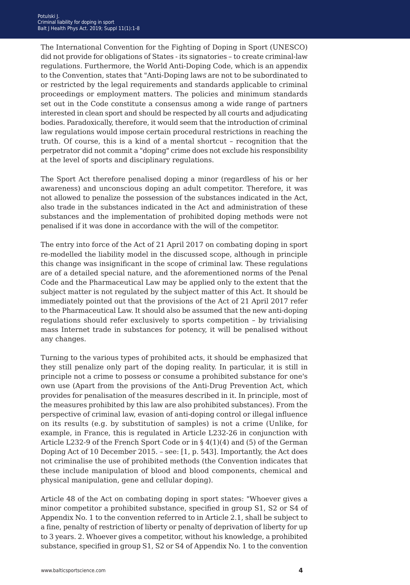The International Convention for the Fighting of Doping in Sport (UNESCO) did not provide for obligations of States - its signatories – to create criminal-law regulations. Furthermore, the World Anti-Doping Code, which is an appendix to the Convention, states that "Anti-Doping laws are not to be subordinated to or restricted by the legal requirements and standards applicable to criminal proceedings or employment matters. The policies and minimum standards set out in the Code constitute a consensus among a wide range of partners interested in clean sport and should be respected by all courts and adjudicating bodies. Paradoxically, therefore, it would seem that the introduction of criminal law regulations would impose certain procedural restrictions in reaching the truth. Of course, this is a kind of a mental shortcut – recognition that the perpetrator did not commit a "doping" crime does not exclude his responsibility at the level of sports and disciplinary regulations.

The Sport Act therefore penalised doping a minor (regardless of his or her awareness) and unconscious doping an adult competitor. Therefore, it was not allowed to penalize the possession of the substances indicated in the Act, also trade in the substances indicated in the Act and administration of these substances and the implementation of prohibited doping methods were not penalised if it was done in accordance with the will of the competitor.

The entry into force of the Act of 21 April 2017 on combating doping in sport re-modelled the liability model in the discussed scope, although in principle this change was insignificant in the scope of criminal law. These regulations are of a detailed special nature, and the aforementioned norms of the Penal Code and the Pharmaceutical Law may be applied only to the extent that the subject matter is not regulated by the subject matter of this Act. It should be immediately pointed out that the provisions of the Act of 21 April 2017 refer to the Pharmaceutical Law. It should also be assumed that the new anti-doping regulations should refer exclusively to sports competition – by trivialising mass Internet trade in substances for potency, it will be penalised without any changes.

Turning to the various types of prohibited acts, it should be emphasized that they still penalize only part of the doping reality. In particular, it is still in principle not a crime to possess or consume a prohibited substance for one's own use (Apart from the provisions of the Anti-Drug Prevention Act, which provides for penalisation of the measures described in it. In principle, most of the measures prohibited by this law are also prohibited substances). From the perspective of criminal law, evasion of anti-doping control or illegal influence on its results (e.g. by substitution of samples) is not a crime (Unlike, for example, in France, this is regulated in Article L232-26 in conjunction with Article L232-9 of the French Sport Code or in § 4(1)(4) and (5) of the German Doping Act of 10 December 2015. – see: [1, p. 543]. Importantly, the Act does not criminalise the use of prohibited methods (the Convention indicates that these include manipulation of blood and blood components, chemical and physical manipulation, gene and cellular doping).

Article 48 of the Act on combating doping in sport states: "Whoever gives a minor competitor a prohibited substance, specified in group S1, S2 or S4 of Appendix No. 1 to the convention referred to in Article 2.1, shall be subject to a fine, penalty of restriction of liberty or penalty of deprivation of liberty for up to 3 years. 2. Whoever gives a competitor, without his knowledge, a prohibited substance, specified in group S1, S2 or S4 of Appendix No. 1 to the convention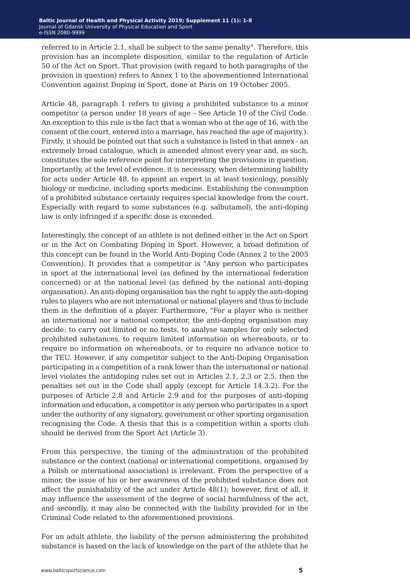referred to in Article 2.1, shall be subject to the same penalty". Therefore, this provision has an incomplete disposition, similar to the regulation of Article 50 of the Act on Sport. That provision (with regard to both paragraphs of the provision in question) refers to Annex 1 to the abovementioned International Convention against Doping in Sport, done at Paris on 19 October 2005.

Article 48, paragraph 1 refers to giving a prohibited substance to a minor competitor (a person under 18 years of age – See Article 10 of the Civil Code. An exception to this rule is the fact that a woman who at the age of 16, with the consent of the court, entered into a marriage, has reached the age of majority.). Firstly, it should be pointed out that such a substance is listed in that annex - an extremely broad catalogue, which is amended almost every year and, as such, constitutes the sole reference point for interpreting the provisions in question. Importantly, at the level of evidence, it is necessary, when determining liability for acts under Article 48, to appoint an expert in at least toxicology, possibly biology or medicine, including sports medicine. Establishing the consumption of a prohibited substance certainly requires special knowledge from the court. Especially with regard to some substances (e.g. salbutamol), the anti-doping law is only infringed if a specific dose is exceeded.

Interestingly, the concept of an athlete is not defined either in the Act on Sport or in the Act on Combating Doping in Sport. However, a broad definition of this concept can be found in the World Anti-Doping Code (Annex 2 to the 2005 Convention). It provides that a competitor is "Any person who participates in sport at the international level (as defined by the international federation concerned) or at the national level (as defined by the national anti-doping organisation). An anti-doping organisation has the right to apply the anti-doping rules to players who are not international or national players and thus to include them in the definition of a player. Furthermore, "For a player who is neither an international nor a national competitor, the anti-doping organisation may decide: to carry out limited or no tests, to analyse samples for only selected prohibited substances, to require limited information on whereabouts, or to require no information on whereabouts, or to require no advance notice to the TEU. However, if any competitor subject to the Anti-Doping Organisation participating in a competition of a rank lower than the international or national level violates the antidoping rules set out in Articles 2.1, 2.3 or 2.5, then the penalties set out in the Code shall apply (except for Article 14.3.2). For the purposes of Article 2.8 and Article 2.9 and for the purposes of anti-doping information and education, a competitor is any person who participates in a sport under the authority of any signatory, government or other sporting organisation recognising the Code. A thesis that this is a competition within a sports club should be derived from the Sport Act (Article 3).

From this perspective, the timing of the administration of the prohibited substance or the context (national or international competitions, organised by a Polish or international association) is irrelevant. From the perspective of a minor, the issue of his or her awareness of the prohibited substance does not affect the punishability of the act under Article 48(1); however, first of all, it may influence the assessment of the degree of social harmfulness of the act, and secondly, it may also be connected with the liability provided for in the Criminal Code related to the aforementioned provisions.

For an adult athlete, the liability of the person administering the prohibited substance is based on the lack of knowledge on the part of the athlete that he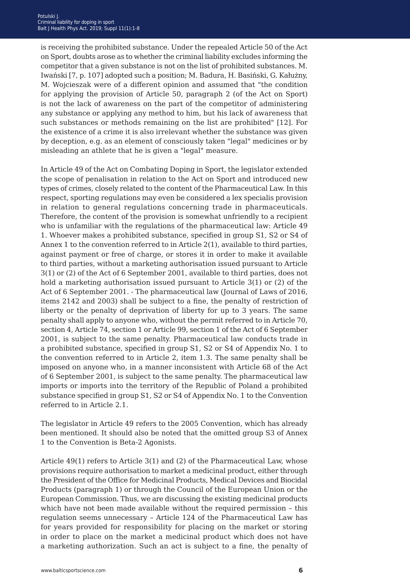is receiving the prohibited substance. Under the repealed Article 50 of the Act on Sport, doubts arose as to whether the criminal liability excludes informing the competitor that a given substance is not on the list of prohibited substances. M. Iwański [7, p. 107] adopted such a position; M. Badura, H. Basiński, G. Kałużny, M. Wojcieszak were of a different opinion and assumed that "the condition for applying the provision of Article 50, paragraph 2 (of the Act on Sport) is not the lack of awareness on the part of the competitor of administering any substance or applying any method to him, but his lack of awareness that such substances or methods remaining on the list are prohibited" [12]. For the existence of a crime it is also irrelevant whether the substance was given by deception, e.g. as an element of consciously taken "legal" medicines or by misleading an athlete that he is given a "legal" measure.

In Article 49 of the Act on Combating Doping in Sport, the legislator extended the scope of penalisation in relation to the Act on Sport and introduced new types of crimes, closely related to the content of the Pharmaceutical Law. In this respect, sporting regulations may even be considered a lex specialis provision in relation to general regulations concerning trade in pharmaceuticals. Therefore, the content of the provision is somewhat unfriendly to a recipient who is unfamiliar with the regulations of the pharmaceutical law: Article 49 1. Whoever makes a prohibited substance, specified in group S1, S2 or S4 of Annex 1 to the convention referred to in Article 2(1), available to third parties, against payment or free of charge, or stores it in order to make it available to third parties, without a marketing authorisation issued pursuant to Article 3(1) or (2) of the Act of 6 September 2001, available to third parties, does not hold a marketing authorisation issued pursuant to Article 3(1) or (2) of the Act of 6 September 2001. - The pharmaceutical law (Journal of Laws of 2016, items 2142 and 2003) shall be subject to a fine, the penalty of restriction of liberty or the penalty of deprivation of liberty for up to 3 years. The same penalty shall apply to anyone who, without the permit referred to in Article 70, section 4, Article 74, section 1 or Article 99, section 1 of the Act of 6 September 2001, is subject to the same penalty. Pharmaceutical law conducts trade in a prohibited substance, specified in group S1, S2 or S4 of Appendix No. 1 to the convention referred to in Article 2, item 1.3. The same penalty shall be imposed on anyone who, in a manner inconsistent with Article 68 of the Act of 6 September 2001, is subject to the same penalty. The pharmaceutical law imports or imports into the territory of the Republic of Poland a prohibited substance specified in group S1, S2 or S4 of Appendix No. 1 to the Convention referred to in Article 2.1.

The legislator in Article 49 refers to the 2005 Convention, which has already been mentioned. It should also be noted that the omitted group S3 of Annex 1 to the Convention is Beta-2 Agonists.

Article 49(1) refers to Article 3(1) and (2) of the Pharmaceutical Law, whose provisions require authorisation to market a medicinal product, either through the President of the Office for Medicinal Products, Medical Devices and Biocidal Products (paragraph 1) or through the Council of the European Union or the European Commission. Thus, we are discussing the existing medicinal products which have not been made available without the required permission – this regulation seems unnecessary – Article 124 of the Pharmaceutical Law has for years provided for responsibility for placing on the market or storing in order to place on the market a medicinal product which does not have a marketing authorization. Such an act is subject to a fine, the penalty of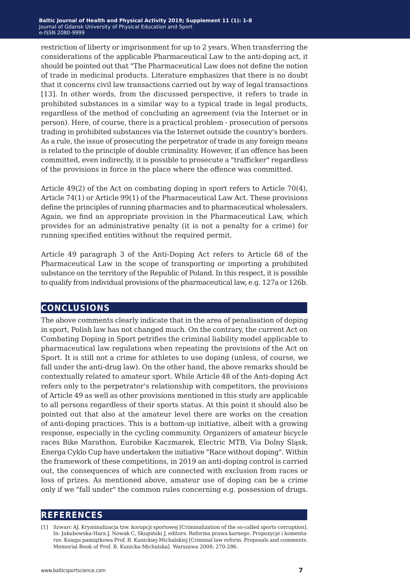restriction of liberty or imprisonment for up to 2 years. When transferring the considerations of the applicable Pharmaceutical Law to the anti-doping act, it should be pointed out that "The Pharmaceutical Law does not define the notion of trade in medicinal products. Literature emphasizes that there is no doubt that it concerns civil law transactions carried out by way of legal transactions [13]. In other words, from the discussed perspective, it refers to trade in prohibited substances in a similar way to a typical trade in legal products, regardless of the method of concluding an agreement (via the Internet or in person). Here, of course, there is a practical problem - prosecution of persons trading in prohibited substances via the Internet outside the country's borders. As a rule, the issue of prosecuting the perpetrator of trade in any foreign means is related to the principle of double criminality. However, if an offence has been committed, even indirectly, it is possible to prosecute a "trafficker" regardless of the provisions in force in the place where the offence was committed.

Article 49(2) of the Act on combating doping in sport refers to Article 70(4), Article 74(1) or Article 99(1) of the Pharmaceutical Law Act. These provisions define the principles of running pharmacies and to pharmaceutical wholesalers. Again, we find an appropriate provision in the Pharmaceutical Law, which provides for an administrative penalty (it is not a penalty for a crime) for running specified entities without the required permit.

Article 49 paragraph 3 of the Anti-Doping Act refers to Article 68 of the Pharmaceutical Law in the scope of transporting or importing a prohibited substance on the territory of the Republic of Poland. In this respect, it is possible to qualify from individual provisions of the pharmaceutical law, e.g. 127a or 126b.

### **conclusions**

The above comments clearly indicate that in the area of penalisation of doping in sport, Polish law has not changed much. On the contrary, the current Act on Combating Doping in Sport petrifies the criminal liability model applicable to pharmaceutical law regulations when repeating the provisions of the Act on Sport. It is still not a crime for athletes to use doping (unless, of course, we fall under the anti-drug law). On the other hand, the above remarks should be contextually related to amateur sport. While Article 48 of the Anti-doping Act refers only to the perpetrator's relationship with competitors, the provisions of Article 49 as well as other provisions mentioned in this study are applicable to all persons regardless of their sports status. At this point it should also be pointed out that also at the amateur level there are works on the creation of anti-doping practices. This is a bottom-up initiative, albeit with a growing response, especially in the cycling community. Organizers of amateur bicycle races Bike Marathon, Eurobike Kaczmarek, Electric MTB, Via Dolny Śląsk, Energa Cyklo Cup have undertaken the initiative "Race without doping". Within the framework of these competitions, in 2019 an anti-doping control is carried out, the consequences of which are connected with exclusion from races or loss of prizes. As mentioned above, amateur use of doping can be a crime only if we "fall under" the common rules concerning e.g. possession of drugs.

#### **references**

<sup>[1]</sup> Szwarc AJ. Kryminalizacja tzw. korupcji sportowej [Criminalization of the so-called sports corruption]. In: Jakubowska-Hara J, Nowak C, Skupiński J, editors. Reforma prawa karnego. Propozycje i komentarze. Księga pamiątkowa Prof. B. Kunickiej-Michalskiej [Criminal law reform. Proposals and comments. Memorial Book of Prof. B. Kunicka-Michalska]. Warszawa 2008; 270-286.